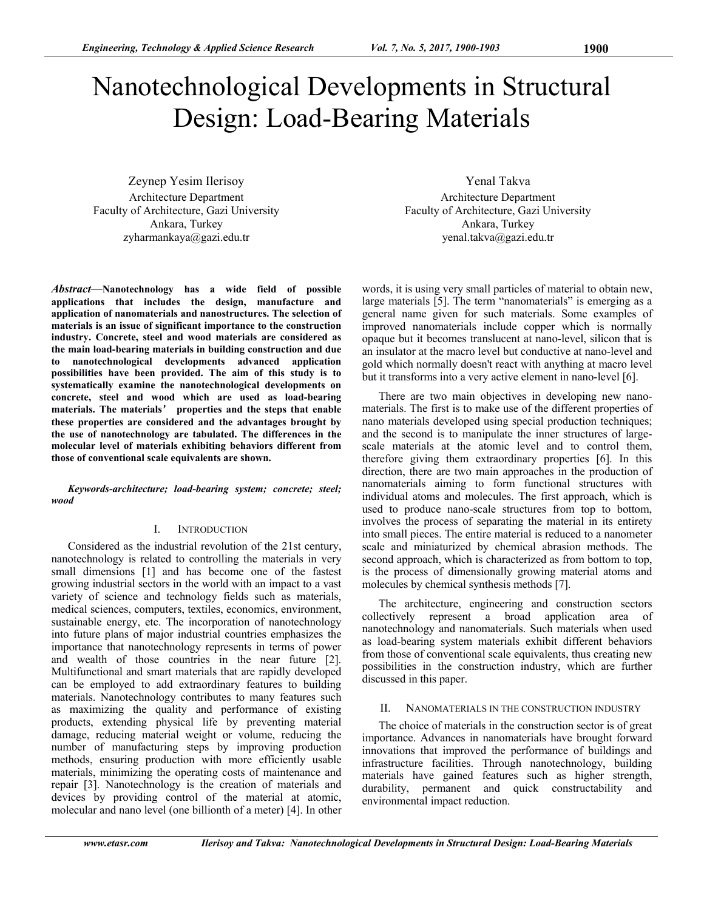# Nanotechnological Developments in Structural Design: Load-Bearing Materials

Zeynep Yesim Ilerisoy Architecture Department Faculty of Architecture, Gazi University Ankara, Turkey zyharmankaya@gazi.edu.tr

*Abstract*—**Nanotechnology has a wide field of possible applications that includes the design, manufacture and application of nanomaterials and nanostructures. The selection of materials is an issue of significant importance to the construction industry. Concrete, steel and wood materials are considered as the main load-bearing materials in building construction and due to nanotechnological developments advanced application possibilities have been provided. The aim of this study is to systematically examine the nanotechnological developments on concrete, steel and wood which are used as load-bearing materials. The materials**' **properties and the steps that enable these properties are considered and the advantages brought by the use of nanotechnology are tabulated. The differences in the molecular level of materials exhibiting behaviors different from those of conventional scale equivalents are shown.** 

*Keywords-architecture; load-bearing system; concrete; steel; wood*

#### I. INTRODUCTION

Considered as the industrial revolution of the 21st century, nanotechnology is related to controlling the materials in very small dimensions [1] and has become one of the fastest growing industrial sectors in the world with an impact to a vast variety of science and technology fields such as materials, medical sciences, computers, textiles, economics, environment, sustainable energy, etc. The incorporation of nanotechnology into future plans of major industrial countries emphasizes the importance that nanotechnology represents in terms of power and wealth of those countries in the near future [2]. Multifunctional and smart materials that are rapidly developed can be employed to add extraordinary features to building materials. Nanotechnology contributes to many features such as maximizing the quality and performance of existing products, extending physical life by preventing material damage, reducing material weight or volume, reducing the number of manufacturing steps by improving production methods, ensuring production with more efficiently usable materials, minimizing the operating costs of maintenance and repair [3]. Nanotechnology is the creation of materials and devices by providing control of the material at atomic, molecular and nano level (one billionth of a meter) [4]. In other

Yenal Takva Architecture Department Faculty of Architecture, Gazi University Ankara, Turkey yenal.takva@gazi.edu.tr

words, it is using very small particles of material to obtain new, large materials [5]. The term "nanomaterials" is emerging as a general name given for such materials. Some examples of improved nanomaterials include copper which is normally opaque but it becomes translucent at nano-level, silicon that is an insulator at the macro level but conductive at nano-level and gold which normally doesn't react with anything at macro level but it transforms into a very active element in nano-level [6].

There are two main objectives in developing new nanomaterials. The first is to make use of the different properties of nano materials developed using special production techniques; and the second is to manipulate the inner structures of largescale materials at the atomic level and to control them, therefore giving them extraordinary properties [6]. In this direction, there are two main approaches in the production of nanomaterials aiming to form functional structures with individual atoms and molecules. The first approach, which is used to produce nano-scale structures from top to bottom, involves the process of separating the material in its entirety into small pieces. The entire material is reduced to a nanometer scale and miniaturized by chemical abrasion methods. The second approach, which is characterized as from bottom to top, is the process of dimensionally growing material atoms and molecules by chemical synthesis methods [7].

The architecture, engineering and construction sectors collectively represent a broad application area of nanotechnology and nanomaterials. Such materials when used as load-bearing system materials exhibit different behaviors from those of conventional scale equivalents, thus creating new possibilities in the construction industry, which are further discussed in this paper.

#### II. NANOMATERIALS IN THE CONSTRUCTION INDUSTRY

The choice of materials in the construction sector is of great importance. Advances in nanomaterials have brought forward innovations that improved the performance of buildings and infrastructure facilities. Through nanotechnology, building materials have gained features such as higher strength, durability, permanent and quick constructability and environmental impact reduction.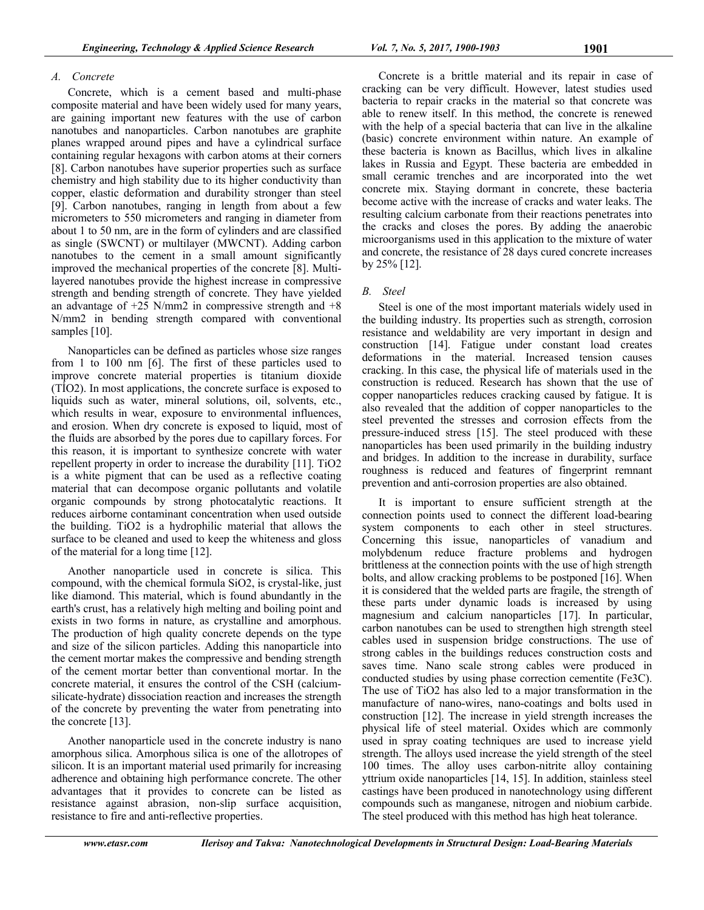# *A. Concrete*

Concrete, which is a cement based and multi-phase composite material and have been widely used for many years, are gaining important new features with the use of carbon nanotubes and nanoparticles. Carbon nanotubes are graphite planes wrapped around pipes and have a cylindrical surface containing regular hexagons with carbon atoms at their corners [8]. Carbon nanotubes have superior properties such as surface chemistry and high stability due to its higher conductivity than copper, elastic deformation and durability stronger than steel [9]. Carbon nanotubes, ranging in length from about a few micrometers to 550 micrometers and ranging in diameter from about 1 to 50 nm, are in the form of cylinders and are classified as single (SWCNT) or multilayer (MWCNT). Adding carbon nanotubes to the cement in a small amount significantly improved the mechanical properties of the concrete [8]. Multilayered nanotubes provide the highest increase in compressive strength and bending strength of concrete. They have yielded an advantage of  $+25$  N/mm2 in compressive strength and  $+8$ N/mm2 in bending strength compared with conventional samples [10].

Nanoparticles can be defined as particles whose size ranges from 1 to 100 nm [6]. The first of these particles used to improve concrete material properties is titanium dioxide (TİO2). In most applications, the concrete surface is exposed to liquids such as water, mineral solutions, oil, solvents, etc., which results in wear, exposure to environmental influences, and erosion. When dry concrete is exposed to liquid, most of the fluids are absorbed by the pores due to capillary forces. For this reason, it is important to synthesize concrete with water repellent property in order to increase the durability [11]. TiO2 is a white pigment that can be used as a reflective coating material that can decompose organic pollutants and volatile organic compounds by strong photocatalytic reactions. It reduces airborne contaminant concentration when used outside the building. TiO2 is a hydrophilic material that allows the surface to be cleaned and used to keep the whiteness and gloss of the material for a long time [12].

Another nanoparticle used in concrete is silica. This compound, with the chemical formula SiO2, is crystal-like, just like diamond. This material, which is found abundantly in the earth's crust, has a relatively high melting and boiling point and exists in two forms in nature, as crystalline and amorphous. The production of high quality concrete depends on the type and size of the silicon particles. Adding this nanoparticle into the cement mortar makes the compressive and bending strength of the cement mortar better than conventional mortar. In the concrete material, it ensures the control of the CSH (calciumsilicate-hydrate) dissociation reaction and increases the strength of the concrete by preventing the water from penetrating into the concrete [13].

Another nanoparticle used in the concrete industry is nano amorphous silica. Amorphous silica is one of the allotropes of silicon. It is an important material used primarily for increasing adherence and obtaining high performance concrete. The other advantages that it provides to concrete can be listed as resistance against abrasion, non-slip surface acquisition, resistance to fire and anti-reflective properties.

Concrete is a brittle material and its repair in case of cracking can be very difficult. However, latest studies used bacteria to repair cracks in the material so that concrete was able to renew itself. In this method, the concrete is renewed with the help of a special bacteria that can live in the alkaline (basic) concrete environment within nature. An example of these bacteria is known as Bacillus, which lives in alkaline lakes in Russia and Egypt. These bacteria are embedded in small ceramic trenches and are incorporated into the wet concrete mix. Staying dormant in concrete, these bacteria become active with the increase of cracks and water leaks. The resulting calcium carbonate from their reactions penetrates into the cracks and closes the pores. By adding the anaerobic microorganisms used in this application to the mixture of water and concrete, the resistance of 28 days cured concrete increases by 25% [12].

# *B. Steel*

Steel is one of the most important materials widely used in the building industry. Its properties such as strength, corrosion resistance and weldability are very important in design and construction [14]. Fatigue under constant load creates deformations in the material. Increased tension causes cracking. In this case, the physical life of materials used in the construction is reduced. Research has shown that the use of copper nanoparticles reduces cracking caused by fatigue. It is also revealed that the addition of copper nanoparticles to the steel prevented the stresses and corrosion effects from the pressure-induced stress [15]. The steel produced with these nanoparticles has been used primarily in the building industry and bridges. In addition to the increase in durability, surface roughness is reduced and features of fingerprint remnant prevention and anti-corrosion properties are also obtained.

It is important to ensure sufficient strength at the connection points used to connect the different load-bearing system components to each other in steel structures. Concerning this issue, nanoparticles of vanadium and molybdenum reduce fracture problems and hydrogen brittleness at the connection points with the use of high strength bolts, and allow cracking problems to be postponed [16]. When it is considered that the welded parts are fragile, the strength of these parts under dynamic loads is increased by using magnesium and calcium nanoparticles [17]. In particular, carbon nanotubes can be used to strengthen high strength steel cables used in suspension bridge constructions. The use of strong cables in the buildings reduces construction costs and saves time. Nano scale strong cables were produced in conducted studies by using phase correction cementite (Fe3C). The use of TiO2 has also led to a major transformation in the manufacture of nano-wires, nano-coatings and bolts used in construction [12]. The increase in yield strength increases the physical life of steel material. Oxides which are commonly used in spray coating techniques are used to increase yield strength. The alloys used increase the yield strength of the steel 100 times. The alloy uses carbon-nitrite alloy containing yttrium oxide nanoparticles [14, 15]. In addition, stainless steel castings have been produced in nanotechnology using different compounds such as manganese, nitrogen and niobium carbide. The steel produced with this method has high heat tolerance.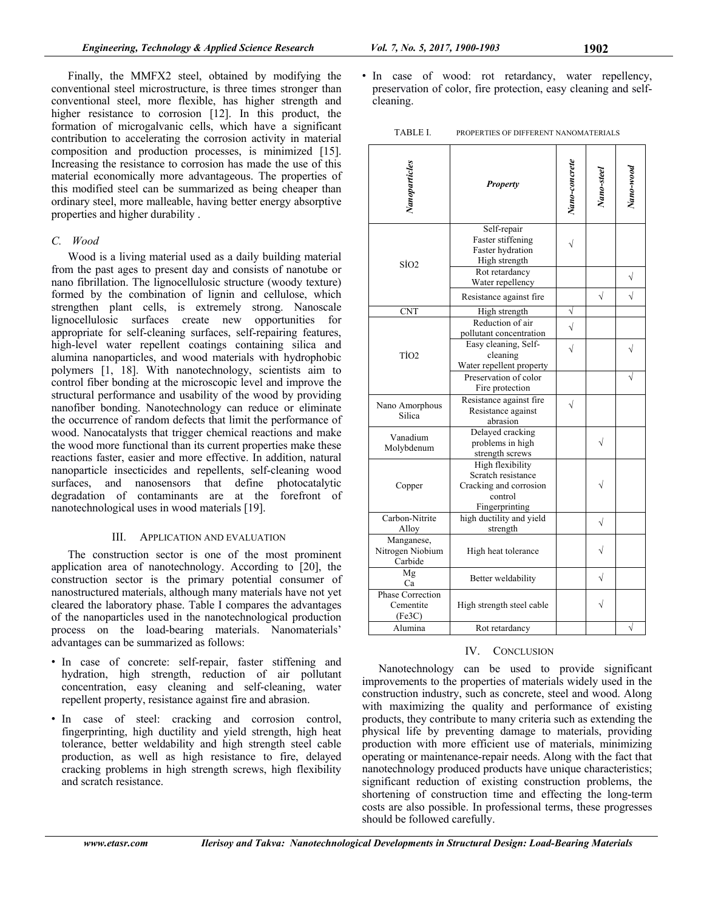Finally, the MMFX2 steel, obtained by modifying the conventional steel microstructure, is three times stronger than conventional steel, more flexible, has higher strength and higher resistance to corrosion [12]. In this product, the formation of microgalvanic cells, which have a significant contribution to accelerating the corrosion activity in material composition and production processes, is minimized [15]. Increasing the resistance to corrosion has made the use of this material economically more advantageous. The properties of this modified steel can be summarized as being cheaper than ordinary steel, more malleable, having better energy absorptive properties and higher durability .

#### *C. Wood*

Wood is a living material used as a daily building material from the past ages to present day and consists of nanotube or nano fibrillation. The lignocellulosic structure (woody texture) formed by the combination of lignin and cellulose, which strengthen plant cells, is extremely strong. Nanoscale lignocellulosic surfaces create new opportunities for appropriate for self-cleaning surfaces, self-repairing features, high-level water repellent coatings containing silica and alumina nanoparticles, and wood materials with hydrophobic polymers [1, 18]. With nanotechnology, scientists aim to control fiber bonding at the microscopic level and improve the structural performance and usability of the wood by providing nanofiber bonding. Nanotechnology can reduce or eliminate the occurrence of random defects that limit the performance of wood. Nanocatalysts that trigger chemical reactions and make the wood more functional than its current properties make these reactions faster, easier and more effective. In addition, natural nanoparticle insecticides and repellents, self-cleaning wood surfaces, and nanosensors that define photocatalytic degradation of contaminants are at the forefront of nanotechnological uses in wood materials [19].

# III. APPLICATION AND EVALUATION

The construction sector is one of the most prominent application area of nanotechnology. According to [20], the construction sector is the primary potential consumer of nanostructured materials, although many materials have not yet cleared the laboratory phase. Table I compares the advantages of the nanoparticles used in the nanotechnological production process on the load-bearing materials. Nanomaterials' advantages can be summarized as follows:

- In case of concrete: self-repair, faster stiffening and hydration, high strength, reduction of air pollutant concentration, easy cleaning and self-cleaning, water repellent property, resistance against fire and abrasion.
- In case of steel: cracking and corrosion control, fingerprinting, high ductility and yield strength, high heat tolerance, better weldability and high strength steel cable production, as well as high resistance to fire, delayed cracking problems in high strength screws, high flexibility and scratch resistance.

• In case of wood: rot retardancy, water repellency, preservation of color, fire protection, easy cleaning and selfcleaning.

| TABLE I. | PROPERTIES OF DIFFERENT NANOMATERIALS |
|----------|---------------------------------------|
|          |                                       |

| Nanoparticles                                  | <b>Property</b>                                                                               | Nano-concrete  | Nano-steel | Nano-wood |
|------------------------------------------------|-----------------------------------------------------------------------------------------------|----------------|------------|-----------|
| SÌO2                                           | Self-repair<br>Faster stiffening<br>Faster hydration<br>High strength                         | V              |            |           |
|                                                | Rot retardancy<br>Water repellency                                                            |                |            | $\sqrt{}$ |
|                                                | Resistance against fire                                                                       |                | $\sqrt{}$  | $\sqrt{}$ |
| <b>CNT</b><br>TÌO <sub>2</sub>                 | High strength<br>Reduction of air<br>pollutant concentration                                  | V<br>$\sqrt{}$ |            |           |
|                                                | Easy cleaning, Self-<br>cleaning<br>Water repellent property                                  | $\sqrt{}$      |            | V         |
|                                                | Preservation of color<br>Fire protection                                                      |                |            | V         |
| Nano Amorphous<br>Silica                       | Resistance against fire<br>Resistance against<br>abrasion                                     | $\sqrt{}$      |            |           |
| Vanadium<br>Molybdenum                         | Delayed cracking<br>problems in high<br>strength screws                                       |                | $\sqrt{}$  |           |
| Copper                                         | High flexibility<br>Scratch resistance<br>Cracking and corrosion<br>control<br>Fingerprinting |                |            |           |
| Carbon-Nitrite<br>Alloy                        | high ductility and yield<br>strength                                                          |                | $\sqrt{}$  |           |
| Manganese,<br>Nitrogen Niobium<br>Carbide      | High heat tolerance                                                                           |                | V          |           |
| Mg<br>Ca                                       | Better weldability                                                                            |                | $\sqrt{}$  |           |
| <b>Phase Correction</b><br>Cementite<br>(Fe3C) | High strength steel cable                                                                     |                | $\sqrt{}$  |           |
| Alumina                                        | Rot retardancy                                                                                |                |            | $\sqrt{}$ |

# IV. CONCLUSION

Nanotechnology can be used to provide significant improvements to the properties of materials widely used in the construction industry, such as concrete, steel and wood. Along with maximizing the quality and performance of existing products, they contribute to many criteria such as extending the physical life by preventing damage to materials, providing production with more efficient use of materials, minimizing operating or maintenance-repair needs. Along with the fact that nanotechnology produced products have unique characteristics; significant reduction of existing construction problems, the shortening of construction time and effecting the long-term costs are also possible. In professional terms, these progresses should be followed carefully.